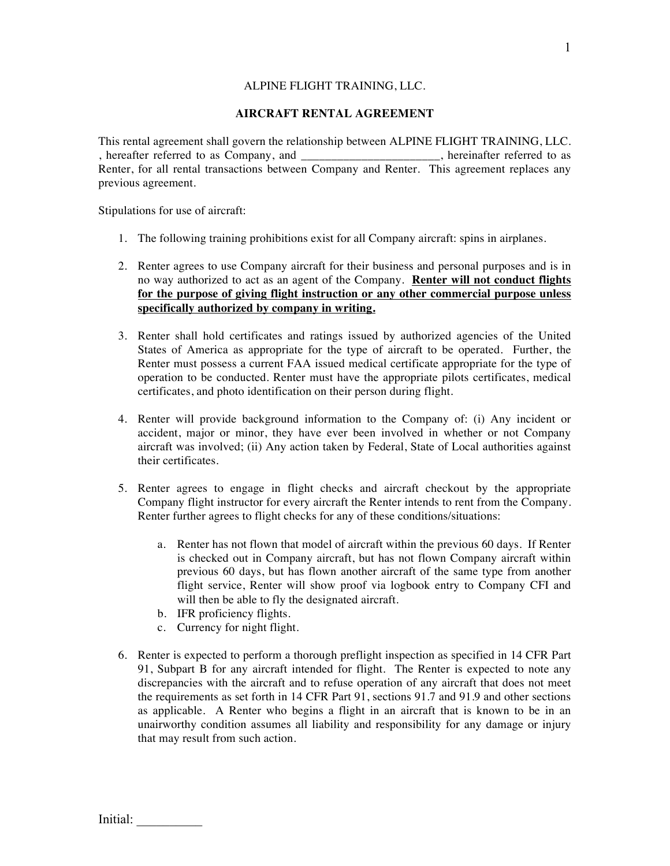# ALPINE FLIGHT TRAINING, LLC.

#### **AIRCRAFT RENTAL AGREEMENT**

This rental agreement shall govern the relationship between ALPINE FLIGHT TRAINING, LLC. , hereafter referred to as Company, and  $\Box$  . hereinafter referred to as Renter, for all rental transactions between Company and Renter. This agreement replaces any previous agreement.

Stipulations for use of aircraft:

- 1. The following training prohibitions exist for all Company aircraft: spins in airplanes.
- 2. Renter agrees to use Company aircraft for their business and personal purposes and is in no way authorized to act as an agent of the Company. **Renter will not conduct flights for the purpose of giving flight instruction or any other commercial purpose unless specifically authorized by company in writing.**
- 3. Renter shall hold certificates and ratings issued by authorized agencies of the United States of America as appropriate for the type of aircraft to be operated. Further, the Renter must possess a current FAA issued medical certificate appropriate for the type of operation to be conducted. Renter must have the appropriate pilots certificates, medical certificates, and photo identification on their person during flight.
- 4. Renter will provide background information to the Company of: (i) Any incident or accident, major or minor, they have ever been involved in whether or not Company aircraft was involved; (ii) Any action taken by Federal, State of Local authorities against their certificates.
- 5. Renter agrees to engage in flight checks and aircraft checkout by the appropriate Company flight instructor for every aircraft the Renter intends to rent from the Company. Renter further agrees to flight checks for any of these conditions/situations:
	- a. Renter has not flown that model of aircraft within the previous 60 days. If Renter is checked out in Company aircraft, but has not flown Company aircraft within previous 60 days, but has flown another aircraft of the same type from another flight service, Renter will show proof via logbook entry to Company CFI and will then be able to fly the designated aircraft.
	- b. IFR proficiency flights.
	- c. Currency for night flight.
- 6. Renter is expected to perform a thorough preflight inspection as specified in 14 CFR Part 91, Subpart B for any aircraft intended for flight. The Renter is expected to note any discrepancies with the aircraft and to refuse operation of any aircraft that does not meet the requirements as set forth in 14 CFR Part 91, sections 91.7 and 91.9 and other sections as applicable. A Renter who begins a flight in an aircraft that is known to be in an unairworthy condition assumes all liability and responsibility for any damage or injury that may result from such action.

Initial: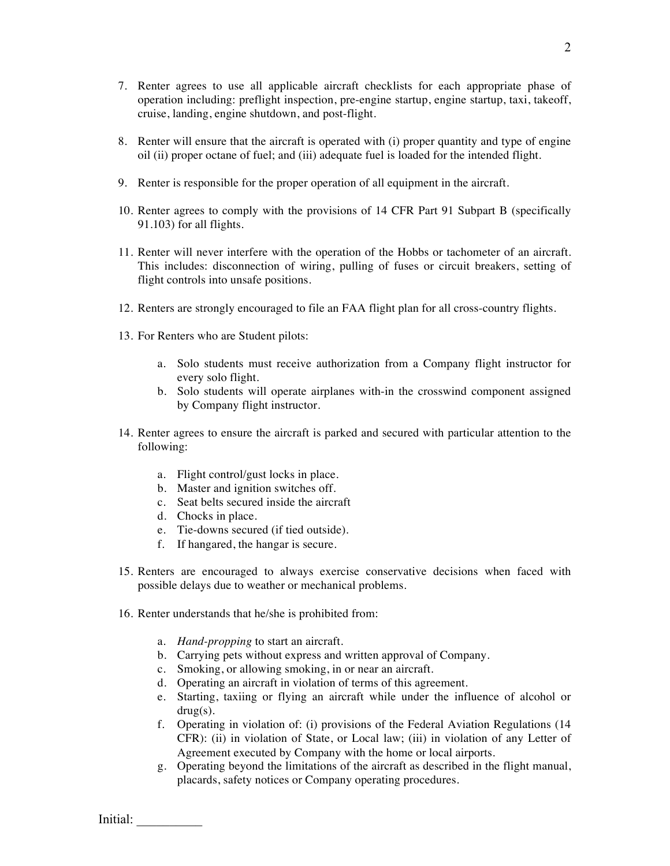- 7. Renter agrees to use all applicable aircraft checklists for each appropriate phase of operation including: preflight inspection, pre-engine startup, engine startup, taxi, takeoff, cruise, landing, engine shutdown, and post-flight.
- 8. Renter will ensure that the aircraft is operated with (i) proper quantity and type of engine oil (ii) proper octane of fuel; and (iii) adequate fuel is loaded for the intended flight.
- 9. Renter is responsible for the proper operation of all equipment in the aircraft.
- 10. Renter agrees to comply with the provisions of 14 CFR Part 91 Subpart B (specifically 91.103) for all flights.
- 11. Renter will never interfere with the operation of the Hobbs or tachometer of an aircraft. This includes: disconnection of wiring, pulling of fuses or circuit breakers, setting of flight controls into unsafe positions.
- 12. Renters are strongly encouraged to file an FAA flight plan for all cross-country flights.
- 13. For Renters who are Student pilots:
	- a. Solo students must receive authorization from a Company flight instructor for every solo flight.
	- b. Solo students will operate airplanes with-in the crosswind component assigned by Company flight instructor.
- 14. Renter agrees to ensure the aircraft is parked and secured with particular attention to the following:
	- a. Flight control/gust locks in place.
	- b. Master and ignition switches off.
	- c. Seat belts secured inside the aircraft
	- d. Chocks in place.
	- e. Tie-downs secured (if tied outside).
	- f. If hangared, the hangar is secure.
- 15. Renters are encouraged to always exercise conservative decisions when faced with possible delays due to weather or mechanical problems.
- 16. Renter understands that he/she is prohibited from:
	- a. *Hand-propping* to start an aircraft.
	- b. Carrying pets without express and written approval of Company.
	- c. Smoking, or allowing smoking, in or near an aircraft.
	- d. Operating an aircraft in violation of terms of this agreement.
	- e. Starting, taxiing or flying an aircraft while under the influence of alcohol or drug(s).
	- f. Operating in violation of: (i) provisions of the Federal Aviation Regulations (14 CFR): (ii) in violation of State, or Local law; (iii) in violation of any Letter of Agreement executed by Company with the home or local airports.
	- g. Operating beyond the limitations of the aircraft as described in the flight manual, placards, safety notices or Company operating procedures.

Initial: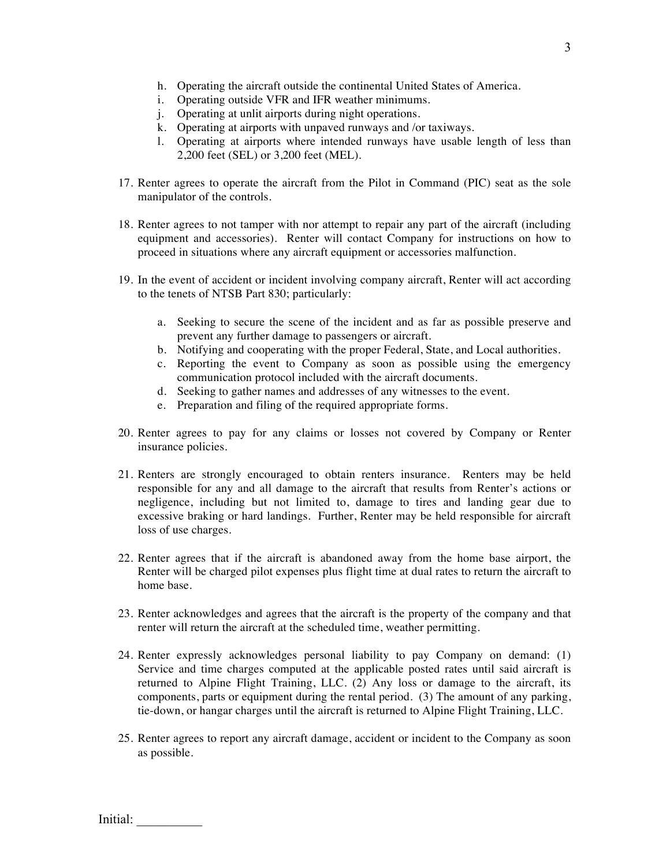- h. Operating the aircraft outside the continental United States of America.
- i. Operating outside VFR and IFR weather minimums.
- j. Operating at unlit airports during night operations.
- k. Operating at airports with unpaved runways and /or taxiways.
- l. Operating at airports where intended runways have usable length of less than 2,200 feet (SEL) or 3,200 feet (MEL).
- 17. Renter agrees to operate the aircraft from the Pilot in Command (PIC) seat as the sole manipulator of the controls.
- 18. Renter agrees to not tamper with nor attempt to repair any part of the aircraft (including equipment and accessories). Renter will contact Company for instructions on how to proceed in situations where any aircraft equipment or accessories malfunction.
- 19. In the event of accident or incident involving company aircraft, Renter will act according to the tenets of NTSB Part 830; particularly:
	- a. Seeking to secure the scene of the incident and as far as possible preserve and prevent any further damage to passengers or aircraft.
	- b. Notifying and cooperating with the proper Federal, State, and Local authorities.
	- c. Reporting the event to Company as soon as possible using the emergency communication protocol included with the aircraft documents.
	- d. Seeking to gather names and addresses of any witnesses to the event.
	- e. Preparation and filing of the required appropriate forms.
- 20. Renter agrees to pay for any claims or losses not covered by Company or Renter insurance policies.
- 21. Renters are strongly encouraged to obtain renters insurance. Renters may be held responsible for any and all damage to the aircraft that results from Renter's actions or negligence, including but not limited to, damage to tires and landing gear due to excessive braking or hard landings. Further, Renter may be held responsible for aircraft loss of use charges.
- 22. Renter agrees that if the aircraft is abandoned away from the home base airport, the Renter will be charged pilot expenses plus flight time at dual rates to return the aircraft to home base.
- 23. Renter acknowledges and agrees that the aircraft is the property of the company and that renter will return the aircraft at the scheduled time, weather permitting.
- 24. Renter expressly acknowledges personal liability to pay Company on demand: (1) Service and time charges computed at the applicable posted rates until said aircraft is returned to Alpine Flight Training, LLC. (2) Any loss or damage to the aircraft, its components, parts or equipment during the rental period. (3) The amount of any parking, tie-down, or hangar charges until the aircraft is returned to Alpine Flight Training, LLC.
- 25. Renter agrees to report any aircraft damage, accident or incident to the Company as soon as possible.

Initial: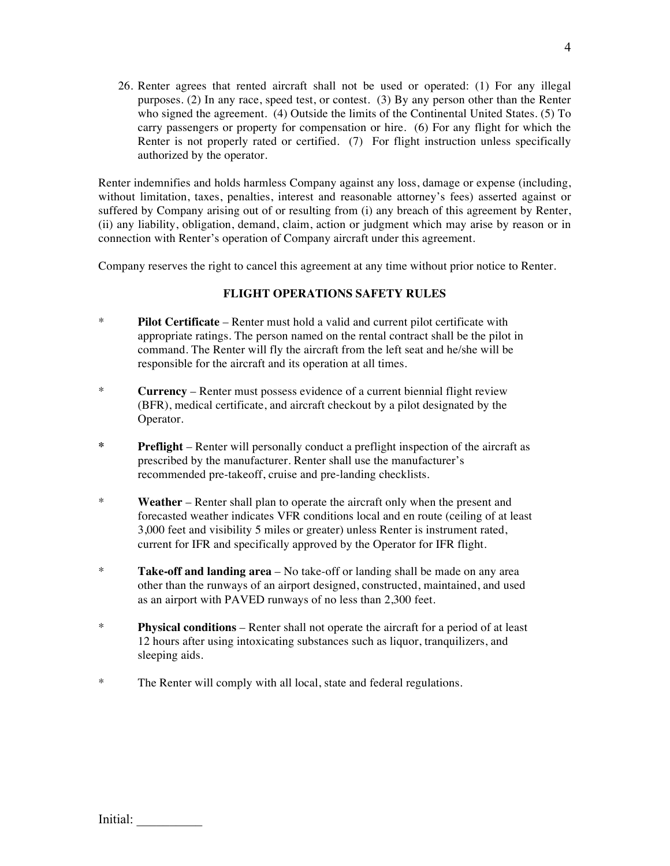26. Renter agrees that rented aircraft shall not be used or operated: (1) For any illegal purposes. (2) In any race, speed test, or contest. (3) By any person other than the Renter who signed the agreement. (4) Outside the limits of the Continental United States. (5) To carry passengers or property for compensation or hire. (6) For any flight for which the Renter is not properly rated or certified. (7) For flight instruction unless specifically authorized by the operator.

Renter indemnifies and holds harmless Company against any loss, damage or expense (including, without limitation, taxes, penalties, interest and reasonable attorney's fees) asserted against or suffered by Company arising out of or resulting from (i) any breach of this agreement by Renter, (ii) any liability, obligation, demand, claim, action or judgment which may arise by reason or in connection with Renter's operation of Company aircraft under this agreement.

Company reserves the right to cancel this agreement at any time without prior notice to Renter.

### **FLIGHT OPERATIONS SAFETY RULES**

- \* **Pilot Certificate** Renter must hold a valid and current pilot certificate with appropriate ratings. The person named on the rental contract shall be the pilot in command. The Renter will fly the aircraft from the left seat and he/she will be responsible for the aircraft and its operation at all times.
- \* **Currency** Renter must possess evidence of a current biennial flight review (BFR), medical certificate, and aircraft checkout by a pilot designated by the Operator.
- **\* Preflight** Renter will personally conduct a preflight inspection of the aircraft as prescribed by the manufacturer. Renter shall use the manufacturer's recommended pre-takeoff, cruise and pre-landing checklists.
- \* **Weather** Renter shall plan to operate the aircraft only when the present and forecasted weather indicates VFR conditions local and en route (ceiling of at least 3,000 feet and visibility 5 miles or greater) unless Renter is instrument rated, current for IFR and specifically approved by the Operator for IFR flight.
- \* **Take-off and landing area** No take-off or landing shall be made on any area other than the runways of an airport designed, constructed, maintained, and used as an airport with PAVED runways of no less than 2,300 feet.
- \* **Physical conditions** Renter shall not operate the aircraft for a period of at least 12 hours after using intoxicating substances such as liquor, tranquilizers, and sleeping aids.
- \* The Renter will comply with all local, state and federal regulations.

| Initial: |  |
|----------|--|
|----------|--|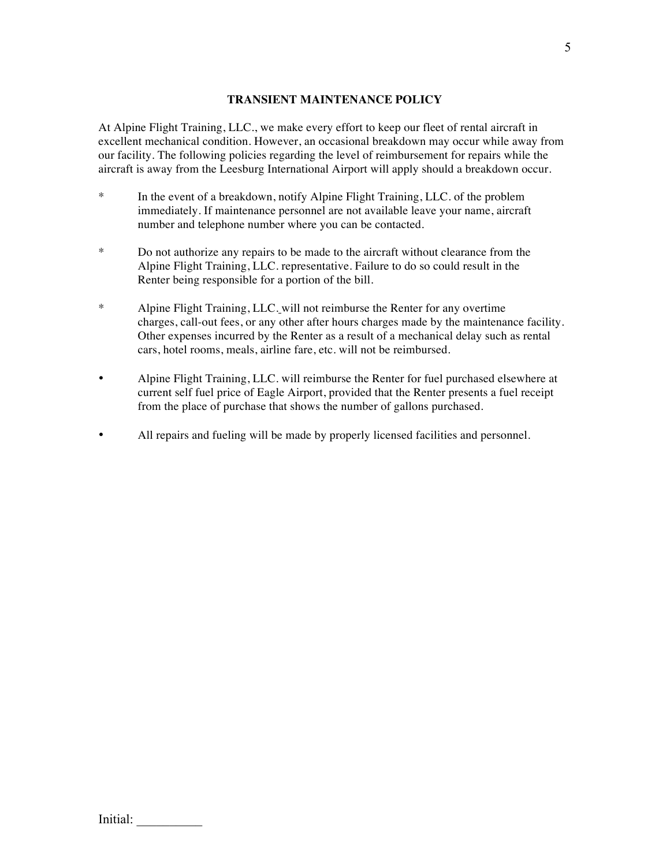# **TRANSIENT MAINTENANCE POLICY**

At Alpine Flight Training, LLC., we make every effort to keep our fleet of rental aircraft in excellent mechanical condition. However, an occasional breakdown may occur while away from our facility. The following policies regarding the level of reimbursement for repairs while the aircraft is away from the Leesburg International Airport will apply should a breakdown occur.

- \* In the event of a breakdown, notify Alpine Flight Training, LLC. of the problem immediately. If maintenance personnel are not available leave your name, aircraft number and telephone number where you can be contacted.
- \* Do not authorize any repairs to be made to the aircraft without clearance from the Alpine Flight Training, LLC. representative. Failure to do so could result in the Renter being responsible for a portion of the bill.
- \* Alpine Flight Training, LLC. will not reimburse the Renter for any overtime charges, call-out fees, or any other after hours charges made by the maintenance facility. Other expenses incurred by the Renter as a result of a mechanical delay such as rental cars, hotel rooms, meals, airline fare, etc. will not be reimbursed.
- Alpine Flight Training, LLC. will reimburse the Renter for fuel purchased elsewhere at current self fuel price of Eagle Airport, provided that the Renter presents a fuel receipt from the place of purchase that shows the number of gallons purchased.
- All repairs and fueling will be made by properly licensed facilities and personnel.

| Initial: |
|----------|
|          |